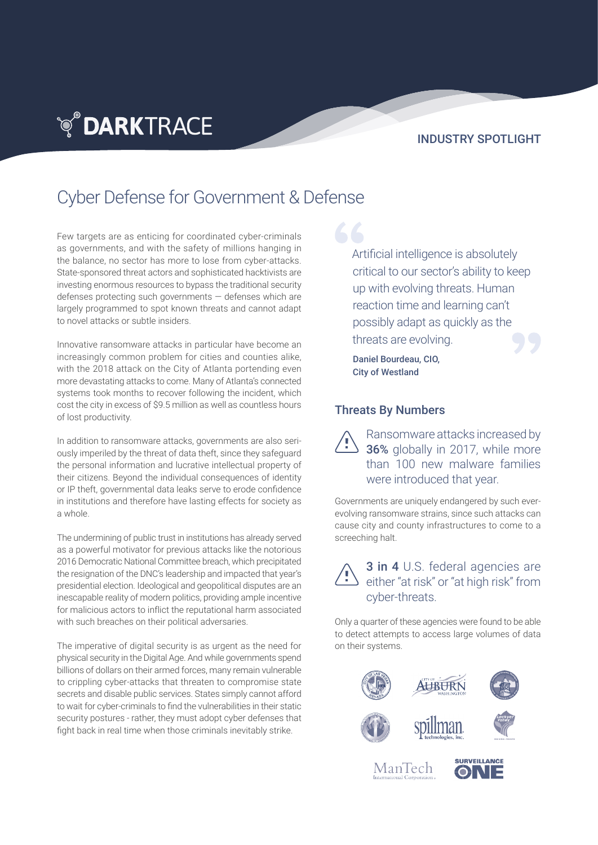### INDUSTRY SPOTLIGHT

# Cyber Defense for Government & Defense

Few targets are as enticing for coordinated cyber-criminals as governments, and with the safety of millions hanging in the balance, no sector has more to lose from cyber-attacks. State-sponsored threat actors and sophisticated hacktivists are investing enormous resources to bypass the traditional security defenses protecting such governments — defenses which are largely programmed to spot known threats and cannot adapt to novel attacks or subtle insiders.

**TO DARKTRACE** 

Innovative ransomware attacks in particular have become an increasingly common problem for cities and counties alike, with the 2018 attack on the City of Atlanta portending even more devastating attacks to come. Many of Atlanta's connected systems took months to recover following the incident, which cost the city in excess of \$9.5 million as well as countless hours of lost productivity.

In addition to ransomware attacks, governments are also seriously imperiled by the threat of data theft, since they safeguard the personal information and lucrative intellectual property of their citizens. Beyond the individual consequences of identity or IP theft, governmental data leaks serve to erode confidence in institutions and therefore have lasting effects for society as a whole.

The undermining of public trust in institutions has already served as a powerful motivator for previous attacks like the notorious 2016 Democratic National Committee breach, which precipitated the resignation of the DNC's leadership and impacted that year's presidential election. Ideological and geopolitical disputes are an inescapable reality of modern politics, providing ample incentive for malicious actors to inflict the reputational harm associated with such breaches on their political adversaries.

The imperative of digital security is as urgent as the need for physical security in the Digital Age. And while governments spend billions of dollars on their armed forces, many remain vulnerable to crippling cyber-attacks that threaten to compromise state secrets and disable public services. States simply cannot afford to wait for cyber-criminals to find the vulnerabilities in their static security postures - rather, they must adopt cyber defenses that fight back in real time when those criminals inevitably strike.

Artificial intelligence is absolutely critical to our sector's ability to keep up with evolving threats. Human reaction time and learning can't possibly adapt as quickly as the threats are evolving.

Daniel Bourdeau, CIO, City of Westland

#### Threats By Numbers

Ransomware attacks increased by 36% globally in 2017, while more than 100 new malware families were introduced that year.

Governments are uniquely endangered by such everevolving ransomware strains, since such attacks can cause city and county infrastructures to come to a screeching halt.

3 in 4 U.S. federal agencies are either "at risk" or "at high risk" from cyber-threats.

Only a quarter of these agencies were found to be able to detect attempts to access large volumes of data on their systems.